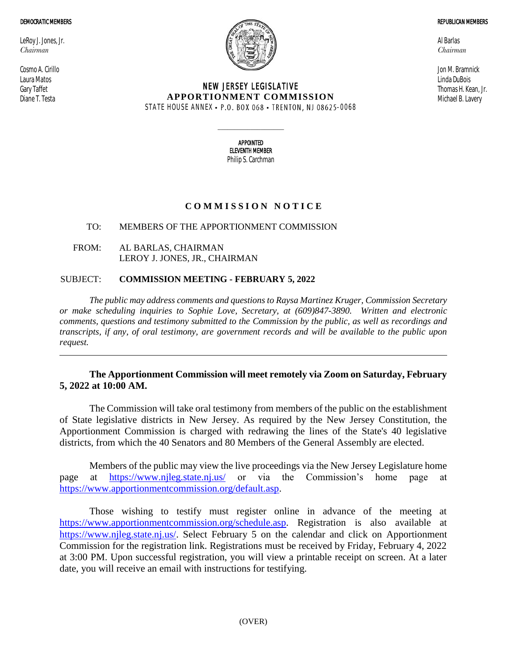#### DEMOCRATIC MEMBERS

LeRoy J. Jones, Jr. *Chairman*

Cosmo A. Cirillo Laura Matos Gary Taffet Diane T. Testa



## NEW JERSEY LEGISLATIVE **APPORTIONMENT COMMISSION** STATE HOUSE ANNEX • P.O. BOX 068 • TRENTON, NJ 08625-0068

Al Barlas *Chairman*

Jon M. Bramnick Linda DuBois Thomas H. Kean, Jr. Michael B. Lavery

APPOINTED ELEVENTH MEMBER Philip S. Carchman

 $\_$ 

# **C O M M I S S I O N N O T I C E**

## TO: MEMBERS OF THE APPORTIONMENT COMMISSION

FROM: AL BARLAS, CHAIRMAN LEROY J. JONES, JR., CHAIRMAN

## SUBJECT: **COMMISSION MEETING - FEBRUARY 5, 2022**

*The public may address comments and questions to Raysa Martinez Kruger, Commission Secretary or make scheduling inquiries to Sophie Love, Secretary, at (609)847-3890. Written and electronic comments, questions and testimony submitted to the Commission by the public, as well as recordings and transcripts, if any, of oral testimony, are government records and will be available to the public upon request.*

# **The Apportionment Commission will meet remotely via Zoom on Saturday, February 5, 2022 at 10:00 AM.**

The Commission will take oral testimony from members of the public on the establishment of State legislative districts in New Jersey. As required by the New Jersey Constitution, the Apportionment Commission is charged with redrawing the lines of the State's 40 legislative districts, from which the 40 Senators and 80 Members of the General Assembly are elected.

Members of the public may view the live proceedings via the New Jersey Legislature home page at <https://www.njleg.state.nj.us/> or via the Commission's home page at [https://www.apportionmentcommission.org/default.asp.](https://www.apportionmentcommission.org/default.asp)

Those wishing to testify must register online in advance of the meeting at [https://www.apportionmentcommission.org/schedule.asp.](https://www.apportionmentcommission.org/schedule.asp) Registration is also available at [https://www.njleg.state.nj.us/.](https://www.njleg.state.nj.us/) Select February 5 on the calendar and click on Apportionment Commission for the registration link. Registrations must be received by Friday, February 4, 2022 at 3:00 PM. Upon successful registration, you will view a printable receipt on screen. At a later date, you will receive an email with instructions for testifying.

REPUBLICAN MEMBERS